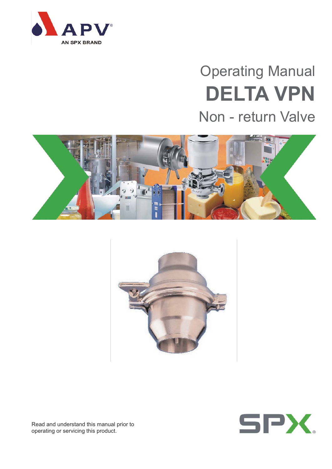

# Operating Manual **DELTA VPN** Non - return Valve







Read and understand this manual prior to operating or servicing this product.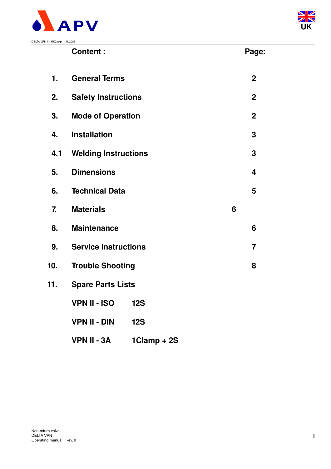



|     | <b>Content:</b>             |             |   | Page:            |  |  |
|-----|-----------------------------|-------------|---|------------------|--|--|
| 1.  | <b>General Terms</b>        |             |   | $\overline{2}$   |  |  |
| 2.  | <b>Safety Instructions</b>  |             |   | $\boldsymbol{2}$ |  |  |
| 3.  | <b>Mode of Operation</b>    |             |   | $\boldsymbol{2}$ |  |  |
| 4.  | <b>Installation</b>         |             |   | 3                |  |  |
| 4.1 | <b>Welding Instructions</b> |             |   | 3                |  |  |
| 5.  | <b>Dimensions</b>           |             |   | 4                |  |  |
| 6.  | <b>Technical Data</b>       |             |   | 5                |  |  |
| 7.  | <b>Materials</b>            |             | 6 |                  |  |  |
| 8.  | <b>Maintenance</b>          |             |   | 6                |  |  |
| 9.  | <b>Service Instructions</b> |             |   | $\overline{7}$   |  |  |
| 10. | <b>Trouble Shooting</b>     |             |   | 8                |  |  |
| 11. | <b>Spare Parts Lists</b>    |             |   |                  |  |  |
|     | <b>VPN II - ISO</b>         | <b>12S</b>  |   |                  |  |  |
|     | <b>VPN II - DIN</b>         | <b>12S</b>  |   |                  |  |  |
|     | <b>VPN II - 3A</b>          | 1Clamp + 2S |   |                  |  |  |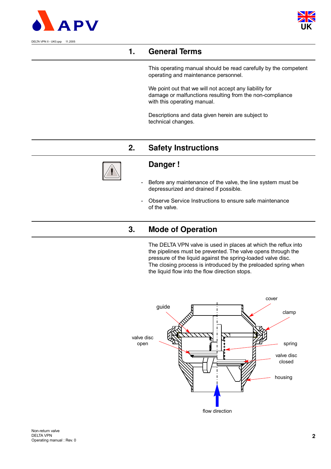



# **1. General Terms**

This operating manual should be read carefully by the competent operating and maintenance personnel.

We point out that we will not accept any liability for damage or malfunctions resulting from the non-compliance with this operating manual.

Descriptions and data given herein are subject to technical changes.

# **2. Safety Instructions**



### **Danger !**

- Before any maintenance of the valve, the line system must be depressurized and drained if possible.
- Observe Service Instructions to ensure safe maintenance of the valve.

# **3. Mode of Operation**

The DELTA VPN valve is used in places at which the reflux into the pipelines must be prevented. The valve opens through the pressure of the liquid against the spring-loaded valve disc. The closing process is introduced by the preloaded spring when the liquid flow into the flow direction stops.

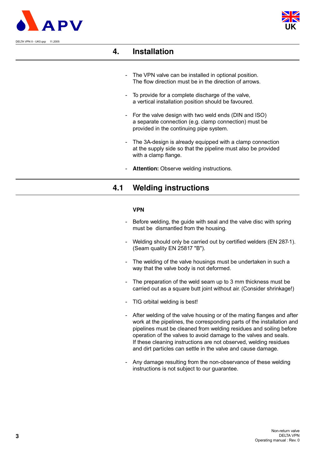



## **4. Installation**

- The VPN valve can be installed in optional position. The flow direction must be in the direction of arrows.
- To provide for a complete discharge of the valve, a vertical installation position should be favoured.
- For the valve design with two weld ends (DIN and ISO) a separate connection (e.g. clamp connection) must be provided in the continuing pipe system.
- The 3A-design is already equipped with a clamp connection at the supply side so that the pipeline must also be provided with a clamp flange.
- Attention: Observe welding instructions.

## **4.1 Welding instructions**

#### **VPN**

- Before welding, the guide with seal and the valve disc with spring must be dismantled from the housing.
- Welding should only be carried out by certified welders (EN 287-1). (Seam quality EN 25817 "B").
- The welding of the valve housings must be undertaken in such a way that the valve body is not deformed.
- The preparation of the weld seam up to 3 mm thickness must be carried out as a square butt joint without air. (Consider shrinkage!)
- TIG orbital welding is best!
- After welding of the valve housing or of the mating flanges and after work at the pipelines, the corresponding parts of the installation and pipelines must be cleaned from welding residues and soiling before operation of the valves to avoid damage to the valves and seals. If these cleaning instructions are not observed, welding residues and dirt particles can settle in the valve and cause damage.
- Any damage resulting from the non-observance of these welding instructions is not subject to our guarantee.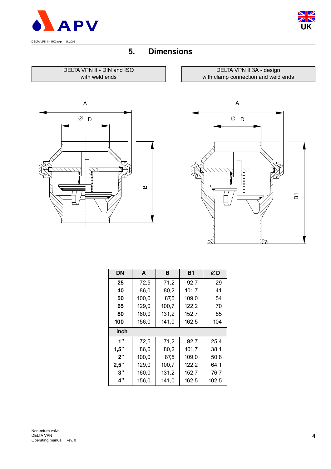



# **5. Dimensions**

#### DELTA VPN II - DIN and ISO with weld ends



DELTA VPN II 3A - design with clamp connection and weld ends



| DN   | A     | в     | <b>B1</b> | ØD    |
|------|-------|-------|-----------|-------|
| 25   | 72,5  | 71,2  | 92,7      | 29    |
| 40   | 86,0  | 80,2  | 101,7     | 41    |
| 50   | 100,0 | 87,5  | 109,0     | 54    |
| 65   | 129,0 | 100,7 | 122,2     | 70    |
| 80   | 160,0 | 131,2 | 152,7     | 85    |
| 100  | 156,0 | 141,0 | 162,5     | 104   |
| inch |       |       |           |       |
| 1"   | 72,5  | 71,2  | 92,7      | 25,4  |
| 1,5" | 86,0  | 80,2  | 101,7     | 38,1  |
| 2"   | 100,0 | 87,5  | 109,0     | 50,8  |
| 2,5" | 129,0 | 100,7 | 122,2     | 64,1  |
| 3"   | 160,0 | 131,2 | 152,7     | 76,7  |
| 4"   | 156,0 | 141,0 | 162,5     | 102,5 |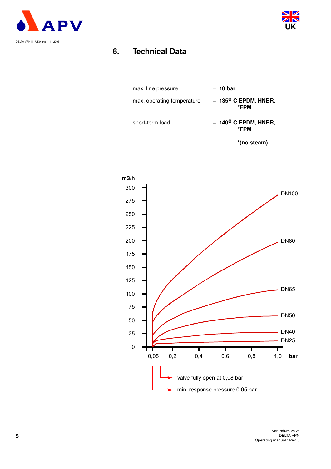



# **6. Technical Data**



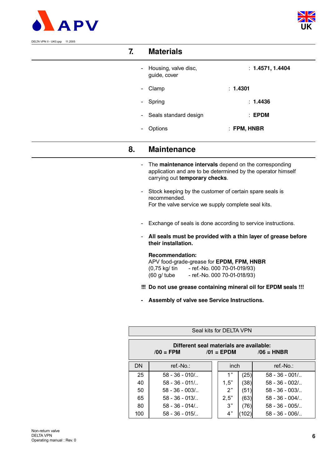



| DELTA VPN II - UK0.qxp 11.2005 |    |                                                                                                                                                         |                                                                 |  |  |  |  |  |  |
|--------------------------------|----|---------------------------------------------------------------------------------------------------------------------------------------------------------|-----------------------------------------------------------------|--|--|--|--|--|--|
|                                | 7. | <b>Materials</b>                                                                                                                                        |                                                                 |  |  |  |  |  |  |
|                                |    | Housing, valve disc,<br>guide, cover                                                                                                                    | : 1.4571, 1.4404                                                |  |  |  |  |  |  |
|                                |    | Clamp                                                                                                                                                   | : 1.4301                                                        |  |  |  |  |  |  |
|                                |    | Spring                                                                                                                                                  | : 1.4436                                                        |  |  |  |  |  |  |
|                                |    | Seals standard design                                                                                                                                   | $:$ EPDM                                                        |  |  |  |  |  |  |
|                                |    | Options                                                                                                                                                 | : FPM, HNBR                                                     |  |  |  |  |  |  |
|                                | 8. | <b>Maintenance</b>                                                                                                                                      |                                                                 |  |  |  |  |  |  |
|                                |    | The maintenance intervals depend on the corresponding<br>application and are to be determined by the operator himself<br>carrying out temporary checks. |                                                                 |  |  |  |  |  |  |
|                                |    | Stock keeping by the customer of certain spare seals is<br>recommended.<br>For the valve service we supply complete seal kits.                          |                                                                 |  |  |  |  |  |  |
|                                |    |                                                                                                                                                         | Exchange of seals is done according to service instructions.    |  |  |  |  |  |  |
|                                |    | their installation.                                                                                                                                     | All seals must be provided with a thin layer of grease before   |  |  |  |  |  |  |
|                                |    | <b>Recommendation:</b><br>APV food-grade-grease for EPDM, FPM, HNBR<br>(0,75 kg/ tin - ref.-No. 000 70-01-019/93)<br>$(60 \text{ g}/ \text{tube})$      | - ref.-No. 000 70-01-018/93)                                    |  |  |  |  |  |  |
|                                |    |                                                                                                                                                         | !!! Do not use grease containing mineral oil for EPDM seals !!! |  |  |  |  |  |  |
|                                |    | Assembly of valve see Service Instructions.                                                                                                             |                                                                 |  |  |  |  |  |  |

|           | Seal kits for DELTA VPN                                                                |      |      |                  |  |  |  |  |  |  |
|-----------|----------------------------------------------------------------------------------------|------|------|------------------|--|--|--|--|--|--|
|           | Different seal materials are available:<br>$/00 =$ FPM<br>$/06$ = HNBR<br>$/01$ = EPDM |      |      |                  |  |  |  |  |  |  |
| <b>DN</b> | ref.-No.:                                                                              | inch |      | $ref.-No.$ :     |  |  |  |  |  |  |
| 25        | $58 - 36 - 010/$                                                                       | 1 "  | (25) | $58 - 36 - 001/$ |  |  |  |  |  |  |
| 40        | $58 - 36 - 011/$                                                                       | 1,5" | (38) | $58 - 36 - 002/$ |  |  |  |  |  |  |
| 50        | $58 - 36 - 003/$                                                                       | 2"   | (51) | $58 - 36 - 003/$ |  |  |  |  |  |  |
| 65        | $58 - 36 - 013/$                                                                       | 2,5" | (63) | $58 - 36 - 004/$ |  |  |  |  |  |  |
| 80        | $58 - 36 - 014/$                                                                       | 3"   | (76) | $58 - 36 - 005/$ |  |  |  |  |  |  |
| 100       | $58 - 36 - 015/$                                                                       | 4"   |      | $58 - 36 - 006/$ |  |  |  |  |  |  |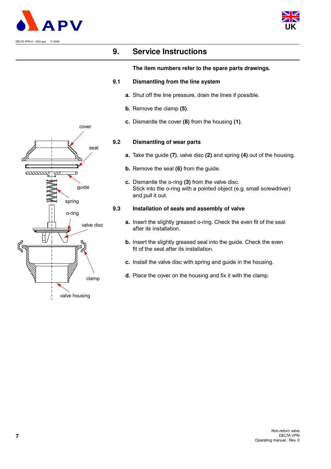



## **9. Service Instructions**

#### **The item numbers refer to the spare parts drawings.**

#### **9.1 Dismantling from the line system**

- **a.** Shut off the line pressure, drain the lines if possible.
- **b.** Remove the clamp **(5)**.
- **c.** Dismantle the cover **(8)** from the housing **(1)**.

#### **9.2 Dismantling of wear parts**

- **a.** Take the guide **(7)**, valve disc **(2)** and spring **(4)** out of the housing.
- **b.** Remove the seal **(6)** from the guide.
- **c.** Dismantle the o-ring **(3)** from the valve disc. Stick into the o-ring with a pointed object (e.g. small screwdriver) and pull it out.

#### **9.3 Installation of seals and assembly of valve**

- **a.** Insert the slightly greased o-ring. Check the even fit of the seal after its installation.
- **b.** Insert the slightly greased seal into the guide. Check the even fit of the seal after its installation.
- **c.** Install the valve disc with spring and guide in the housing.
- **d.** Place the cover on the housing and fix it with the clamp.

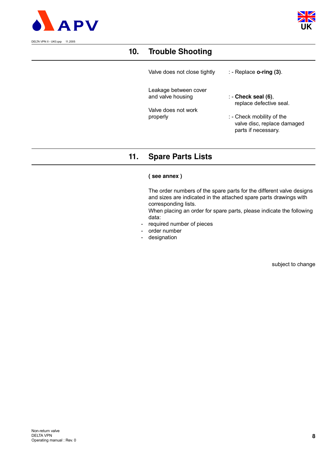



# **10. Trouble Shooting**

Valve does not close tightly : - Replace **o-ring (3)**.

Leakage between cover and valve housing : - **Check seal (6)**,

Valve does not work

replace defective seal.

properly  $\qquad \qquad :$  - Check mobility of the valve disc, replace damaged parts if necessary.

# **11. Spare Parts Lists**

#### **( see annex )**

The order numbers of the spare parts for the different valve designs and sizes are indicated in the attached spare parts drawings with corresponding lists.

When placing an order for spare parts, please indicate the following data:

- required number of pieces
- order number
- designation

subject to change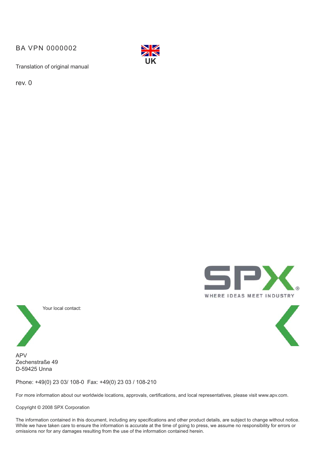BA VPN 0000002



Translation of original manual

rev. 0





Your local contact:

APV Zechenstraße 49 D-59425 Unna

Phone: +49(0) 23 03/ 108-0 Fax: +49(0) 23 03 / 108-210

For more information about our worldwide locations, approvals, certifications, and local representatives, please visit www.apv.com.

Copyright © 2008 SPX Corporation

The information contained in this document, including any specifications and other product details, are subject to change without notice. While we have taken care to ensure the information is accurate at the time of going to press, we assume no responsibility for errors or omissions nor for any damages resulting from the use of the information contained herein.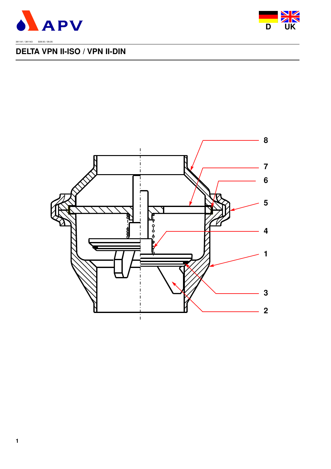



# **DELTA VPN II-ISO / VPN II-DIN**

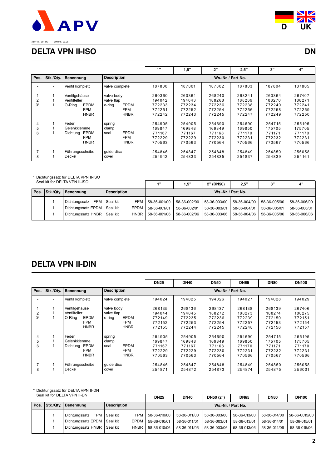

**D UK**

## 381141 / 381143 S09.93 / 09.05

## **DELTA VPN II-ISO DN**

|                |           |                         |                       | $+122$ | 1,5"   | 2"     | 2,5"               | 3"     | 4"     |
|----------------|-----------|-------------------------|-----------------------|--------|--------|--------|--------------------|--------|--------|
| Pos.           | Stk./Qtv. | Benennung               | <b>Description</b>    |        |        |        | Ws.-Nr. / Part No. |        |        |
|                |           | Ventil komplett         | valve complete        | 187800 | 187801 | 187802 | 187803             | 187804 | 187805 |
|                |           | Ventilgehäuse           | valve body            | 260360 | 260361 | 268240 | 268241             | 260364 | 267407 |
| $\overline{2}$ |           | Ventilteller            | valve flap            | 194042 | 194043 | 188268 | 188269             | 188270 | 188271 |
| $3*$           |           | <b>EPDM</b><br>O-Ring   | <b>EPDM</b><br>o-ring | 772233 | 772234 | 772236 | 772238             | 772240 | 772241 |
|                |           | <b>FPM</b>              | <b>FPM</b>            | 772251 | 772252 | 772254 | 772256             | 772258 | 772259 |
|                |           | <b>HNBR</b>             | <b>HNBR</b>           | 772242 | 772243 | 772245 | 772247             | 772249 | 772250 |
| 4              |           | Feder                   | spring                | 254905 | 254905 | 254690 | 254690             | 254715 | 255195 |
| 5              |           | Gelenkklemme            | clamp                 | 169847 | 169848 | 169849 | 169850             | 175705 | 175705 |
| 6              |           | <b>EPDM</b><br>Dichtung | <b>EPDM</b><br>seal   | 771167 | 771167 | 771168 | 771170             | 771171 | 771170 |
|                |           | <b>FPM</b>              | <b>FPM</b>            | 772229 | 772229 | 772230 | 772231             | 772232 | 772231 |
|                |           | <b>HNBR</b>             | <b>HNBR</b>           | 770563 | 770563 | 770564 | 770566             | 770567 | 770566 |
|                |           | Führungsscheibe         | quide disc            | 254846 | 254847 | 254848 | 254849             | 254850 | 256058 |
| 8              |           | Deckel                  | cover                 | 254912 | 254833 | 254835 | 254837             | 254839 | 254161 |

#### \* Dichtungssatz für DELTA VPN II-ISO Seal kit for DELTA VPN II-ISO

| $0.001$ in the peer in the set in the set in the set in the set in the set in the set of $10$ |  |                               |                    |        | -4 22        | 5"                 | 2" (DN50)    | 2.5"         | יים          |              |  |  |
|-----------------------------------------------------------------------------------------------|--|-------------------------------|--------------------|--------|--------------|--------------------|--------------|--------------|--------------|--------------|--|--|
|                                                                                               |  | Pos. Stk./Qty. Benennung      | <b>Description</b> |        |              | Ws.-Nr. / Part No. |              |              |              |              |  |  |
|                                                                                               |  | Dichtungssatz FPM Seal kit    |                    | FPM I  | 58-36-001/00 | 58-36-002/00       | 58-36-003/00 | 58-36-004/00 | 58-36-005/00 | 58-36-006/00 |  |  |
|                                                                                               |  | Dichtungssatz EPDM   Seal kit |                    | EPDM   | 58-36-001/01 | 58-36-002/01       | 58-36-003/01 | 58-36-004/01 | 58-36-005/01 | 58-36-006/01 |  |  |
|                                                                                               |  | Dichtungssatz HNBR   Seal kit |                    | HNBR I | 58-36-001/06 | 58-36-002/06       | 58-36-003/06 | 58-36-004/06 | 58-36-005/06 | 58-36-006/06 |  |  |
|                                                                                               |  |                               |                    |        |              |                    |              |              |              |              |  |  |

# **DELTA VPN II-DIN**

|        |           |                                                               |                                                           | <b>DN25</b>                          | <b>DN40</b>                          | <b>DN50</b>                          | <b>DN65</b>                          | <b>DN80</b>                          | <b>DN100</b>                         |
|--------|-----------|---------------------------------------------------------------|-----------------------------------------------------------|--------------------------------------|--------------------------------------|--------------------------------------|--------------------------------------|--------------------------------------|--------------------------------------|
| Pos.   | Stk./Qty. | Benennung                                                     | <b>Description</b>                                        |                                      |                                      | Ws.-Nr. / Part No.                   |                                      |                                      |                                      |
|        |           | Ventil komplett                                               | valve complete                                            | 194024                               | 194025                               | 194026                               | 194027                               | 194028                               | 194029                               |
| 2      |           | Ventilgehäuse<br>Ventilteller                                 | valve body<br>valve flap                                  | 268135<br>194044                     | 268136<br>194045                     | 268137<br>188272                     | 268138<br>188273                     | 268139<br>188274                     | 267406<br>188275                     |
| $3*$   |           | <b>EPDM</b><br>O-Ring<br><b>FPM</b><br><b>HNBR</b>            | <b>EPDM</b><br>o-ring<br><b>FPM</b><br><b>HNBR</b>        | 772149<br>772152<br>772155           | 772235<br>772253<br>772244           | 772236<br>772254<br>772245           | 772239<br>772257<br>772248           | 772150<br>772153<br>772156           | 772151<br>772154<br>772157           |
| 4      |           | Feder                                                         | spring                                                    | 254905                               | 254905                               | 254690                               | 254690                               | 254715                               | 255195                               |
| 5<br>6 |           | Gelenkklemme<br>EPDM<br>Dichtung<br><b>FPM</b><br><b>HNBR</b> | clamp<br><b>EPDM</b><br>seal<br><b>FPM</b><br><b>HNBR</b> | 169847<br>771167<br>772229<br>770563 | 169848<br>771167<br>772229<br>770563 | 169849<br>771168<br>772230<br>770564 | 169850<br>771170<br>772231<br>770566 | 175705<br>771171<br>772232<br>770567 | 175705<br>771170<br>772231<br>770566 |
| 8      |           | Führungsscheibe<br>Deckel                                     | quide disc<br>cover                                       | 254846<br>254871                     | 254847<br>254872                     | 254848<br>254873                     | 254849<br>254874                     | 254850<br>254875                     | 256058<br>256001                     |

#### \* Dichtungssatz für DELTA VPN II-DN

| Seal KII TOT DELTA VPN II-DN |  |                               |                    |             | <b>DN25</b>  | <b>DN40</b>        | DN50 (2")    | <b>DN65</b>  | <b>DN80</b>  | <b>DN100</b>  |  |
|------------------------------|--|-------------------------------|--------------------|-------------|--------------|--------------------|--------------|--------------|--------------|---------------|--|
|                              |  | Pos. Stk./Qty. Benennung      | <b>Description</b> |             |              | Ws.-Nr. / Part No. |              |              |              |               |  |
|                              |  | Dichtungssatz FPM Seal kit    |                    | FPM         | 58-36-010/00 | 58-36-011/00       | 58-36-003/00 | 58-36-013/00 | 58-36-014/00 | 58-36-0015/00 |  |
|                              |  | Dichtungssatz EPDM   Seal kit |                    | EPDM I      | 58-36-010/01 | 58-36-011/01       | 58-36-003/01 | 58-36-013/01 | 58-36-014/01 | 58-36-015/01  |  |
|                              |  | Dichtungssatz HNBR   Seal kit |                    | <b>HNBR</b> | 58-36-010/06 | 58-36-011/06       | 58-36-003/06 | 58-36-013/06 | 58-36-014/06 | 58-36-015/06  |  |
|                              |  |                               |                    |             |              |                    |              |              |              |               |  |